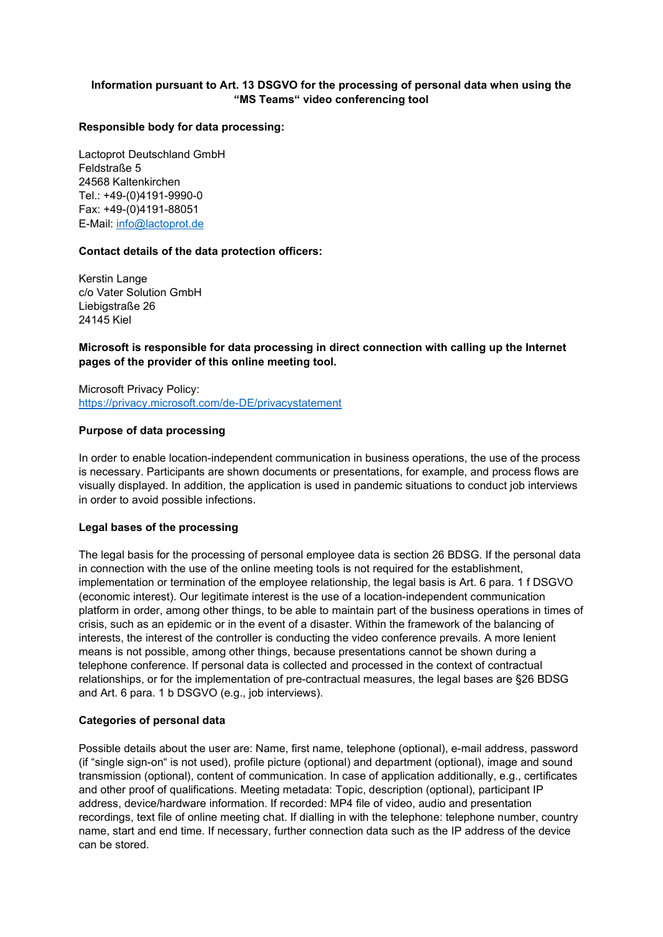## Information pursuant to Art. 13 DSGVO for the processing of personal data when using the "MS Teams" video conferencing tool

#### Responsible body for data processing:

Lactoprot Deutschland GmbH Feldstraße 5 24568 Kaltenkirchen Tel.: +49-(0)4191-9990-0 Fax: +49-(0)4191-88051 E-Mail: info@lactoprot.de

#### Contact details of the data protection officers:

Kerstin Lange c/o Vater Solution GmbH Liebigstraße 26 24145 Kiel

## Microsoft is responsible for data processing in direct connection with calling up the Internet pages of the provider of this online meeting tool.

Microsoft Privacy Policy: https://privacy.microsoft.com/de-DE/privacystatement

#### Purpose of data processing

In order to enable location-independent communication in business operations, the use of the process is necessary. Participants are shown documents or presentations, for example, and process flows are visually displayed. In addition, the application is used in pandemic situations to conduct job interviews in order to avoid possible infections.

#### Legal bases of the processing

The legal basis for the processing of personal employee data is section 26 BDSG. If the personal data in connection with the use of the online meeting tools is not required for the establishment, implementation or termination of the employee relationship, the legal basis is Art. 6 para. 1 f DSGVO (economic interest). Our legitimate interest is the use of a location-independent communication platform in order, among other things, to be able to maintain part of the business operations in times of crisis, such as an epidemic or in the event of a disaster. Within the framework of the balancing of interests, the interest of the controller is conducting the video conference prevails. A more lenient means is not possible, among other things, because presentations cannot be shown during a telephone conference. If personal data is collected and processed in the context of contractual relationships, or for the implementation of pre-contractual measures, the legal bases are §26 BDSG and Art. 6 para. 1 b DSGVO (e.g., job interviews).

## Categories of personal data

Possible details about the user are: Name, first name, telephone (optional), e-mail address, password (if "single sign-on" is not used), profile picture (optional) and department (optional), image and sound transmission (optional), content of communication. In case of application additionally, e.g., certificates and other proof of qualifications. Meeting metadata: Topic, description (optional), participant IP address, device/hardware information. If recorded: MP4 file of video, audio and presentation recordings, text file of online meeting chat. If dialling in with the telephone: telephone number, country name, start and end time. If necessary, further connection data such as the IP address of the device can be stored.